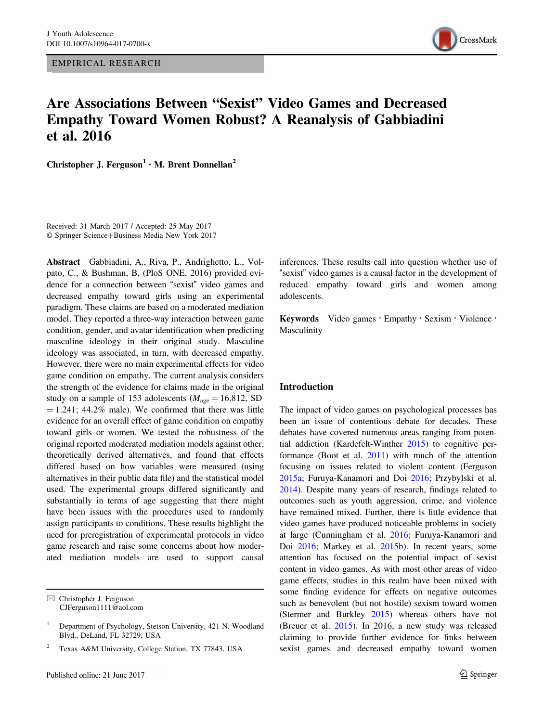EMPIRICAL RESEARCH



# Are Associations Between "Sexist" Video Games and Decreased Empathy Toward Women Robust? A Reanalysis of Gabbiadini et al. 2016

Christopher J. Ferguson<sup>1</sup>  $\cdot$  M. Brent Donnellan<sup>2</sup>

Received: 31 March 2017 / Accepted: 25 May 2017 © Springer Science+Business Media New York 2017

Abstract Gabbiadini, A., Riva, P., Andrighetto, L., Volpato, C., & Bushman, B, (PloS ONE, 2016) provided evidence for a connection between "sexist" video games and decreased empathy toward girls using an experimental paradigm. These claims are based on a moderated mediation model. They reported a three-way interaction between game condition, gender, and avatar identification when predicting masculine ideology in their original study. Masculine ideology was associated, in turn, with decreased empathy. However, there were no main experimental effects for video game condition on empathy. The current analysis considers the strength of the evidence for claims made in the original study on a sample of 153 adolescents ( $M_{\text{age}} = 16.812$ , SD  $= 1.241$ ; 44.2% male). We confirmed that there was little evidence for an overall effect of game condition on empathy toward girls or women. We tested the robustness of the original reported moderated mediation models against other, theoretically derived alternatives, and found that effects differed based on how variables were measured (using alternatives in their public data file) and the statistical model used. The experimental groups differed significantly and substantially in terms of age suggesting that there might have been issues with the procedures used to randomly assign participants to conditions. These results highlight the need for preregistration of experimental protocols in video game research and raise some concerns about how moderated mediation models are used to support causal

 $\boxtimes$  Christopher J. Ferguson [CJFerguson1111@aol.com](mailto:CJFerguson1111@aol.com) inferences. These results call into question whether use of "sexist" video games is a causal factor in the development of reduced empathy toward girls and women among adolescents.

Keywords Video games • Empathy • Sexism • Violence • Masculinity

#### Introduction

The impact of video games on psychological processes has been an issue of contentious debate for decades. These debates have covered numerous areas ranging from potential addiction (Kardefelt-Winther [2015](#page-12-0)) to cognitive performance (Boot et al. [2011](#page-12-0)) with much of the attention focusing on issues related to violent content (Ferguson [2015a](#page-12-0); Furuya-Kanamori and Doi [2016;](#page-12-0) Przybylski et al. [2014](#page-13-0)). Despite many years of research, findings related to outcomes such as youth aggression, crime, and violence have remained mixed. Further, there is little evidence that video games have produced noticeable problems in society at large (Cunningham et al. [2016](#page-12-0); Furuya-Kanamori and Doi [2016](#page-12-0); Markey et al. [2015b\)](#page-12-0). In recent years, some attention has focused on the potential impact of sexist content in video games. As with most other areas of video game effects, studies in this realm have been mixed with some finding evidence for effects on negative outcomes such as benevolent (but not hostile) sexism toward women (Stermer and Burkley [2015\)](#page-13-0) whereas others have not (Breuer et al. [2015](#page-12-0)). In 2016, a new study was released claiming to provide further evidence for links between sexist games and decreased empathy toward women

<sup>1</sup> Department of Psychology, Stetson University, 421 N. Woodland Blvd., DeLand, FL 32729, USA

Texas A&M University, College Station, TX 77843, USA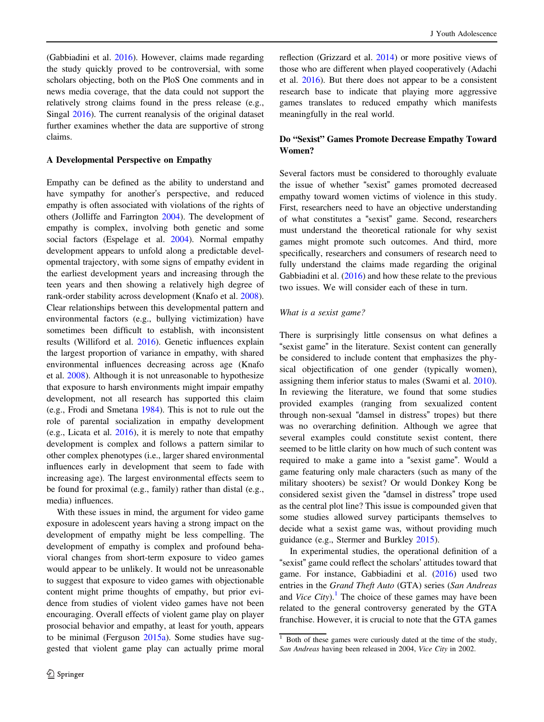(Gabbiadini et al. [2016](#page-12-0)). However, claims made regarding the study quickly proved to be controversial, with some scholars objecting, both on the PloS One comments and in news media coverage, that the data could not support the relatively strong claims found in the press release (e.g., Singal [2016\)](#page-13-0). The current reanalysis of the original dataset further examines whether the data are supportive of strong claims.

## A Developmental Perspective on Empathy

Empathy can be defined as the ability to understand and have sympathy for another's perspective, and reduced empathy is often associated with violations of the rights of others (Jolliffe and Farrington [2004](#page-12-0)). The development of empathy is complex, involving both genetic and some social factors (Espelage et al. [2004\)](#page-12-0). Normal empathy development appears to unfold along a predictable developmental trajectory, with some signs of empathy evident in the earliest development years and increasing through the teen years and then showing a relatively high degree of rank-order stability across development (Knafo et al. [2008](#page-12-0)). Clear relationships between this developmental pattern and environmental factors (e.g., bullying victimization) have sometimes been difficult to establish, with inconsistent results (Williford et al. [2016](#page-13-0)). Genetic influences explain the largest proportion of variance in empathy, with shared environmental influences decreasing across age (Knafo et al. [2008](#page-12-0)). Although it is not unreasonable to hypothesize that exposure to harsh environments might impair empathy development, not all research has supported this claim (e.g., Frodi and Smetana [1984\)](#page-12-0). This is not to rule out the role of parental socialization in empathy development (e.g., Licata et al. [2016](#page-12-0)), it is merely to note that empathy development is complex and follows a pattern similar to other complex phenotypes (i.e., larger shared environmental influences early in development that seem to fade with increasing age). The largest environmental effects seem to be found for proximal (e.g., family) rather than distal (e.g., media) influences.

With these issues in mind, the argument for video game exposure in adolescent years having a strong impact on the development of empathy might be less compelling. The development of empathy is complex and profound behavioral changes from short-term exposure to video games would appear to be unlikely. It would not be unreasonable to suggest that exposure to video games with objectionable content might prime thoughts of empathy, but prior evidence from studies of violent video games have not been encouraging. Overall effects of violent game play on player prosocial behavior and empathy, at least for youth, appears to be minimal (Ferguson [2015a\)](#page-12-0). Some studies have suggested that violent game play can actually prime moral

reflection (Grizzard et al. [2014\)](#page-12-0) or more positive views of those who are different when played cooperatively (Adachi et al. [2016\)](#page-12-0). But there does not appear to be a consistent research base to indicate that playing more aggressive games translates to reduced empathy which manifests meaningfully in the real world.

# Do "Sexist" Games Promote Decrease Empathy Toward Women?

Several factors must be considered to thoroughly evaluate the issue of whether "sexist" games promoted decreased empathy toward women victims of violence in this study. First, researchers need to have an objective understanding of what constitutes a "sexist" game. Second, researchers must understand the theoretical rationale for why sexist games might promote such outcomes. And third, more specifically, researchers and consumers of research need to fully understand the claims made regarding the original Gabbiadini et al. [\(2016](#page-12-0)) and how these relate to the previous two issues. We will consider each of these in turn.

## What is a sexist game?

There is surprisingly little consensus on what defines a "sexist game" in the literature. Sexist content can generally be considered to include content that emphasizes the physical objectification of one gender (typically women), assigning them inferior status to males (Swami et al. [2010\)](#page-13-0). In reviewing the literature, we found that some studies provided examples (ranging from sexualized content through non-sexual "damsel in distress" tropes) but there was no overarching definition. Although we agree that several examples could constitute sexist content, there seemed to be little clarity on how much of such content was required to make a game into a "sexist game". Would a game featuring only male characters (such as many of the military shooters) be sexist? Or would Donkey Kong be considered sexist given the "damsel in distress" trope used as the central plot line? This issue is compounded given that some studies allowed survey participants themselves to decide what a sexist game was, without providing much guidance (e.g., Stermer and Burkley [2015\)](#page-13-0).

In experimental studies, the operational definition of a "sexist" game could reflect the scholars' attitudes toward that game. For instance, Gabbiadini et al. ([2016\)](#page-12-0) used two entries in the Grand Theft Auto (GTA) series (San Andreas and *Vice City*).<sup>1</sup> The choice of these games may have been related to the general controversy generated by the GTA franchise. However, it is crucial to note that the GTA games

 $1$  Both of these games were curiously dated at the time of the study, San Andreas having been released in 2004, Vice City in 2002.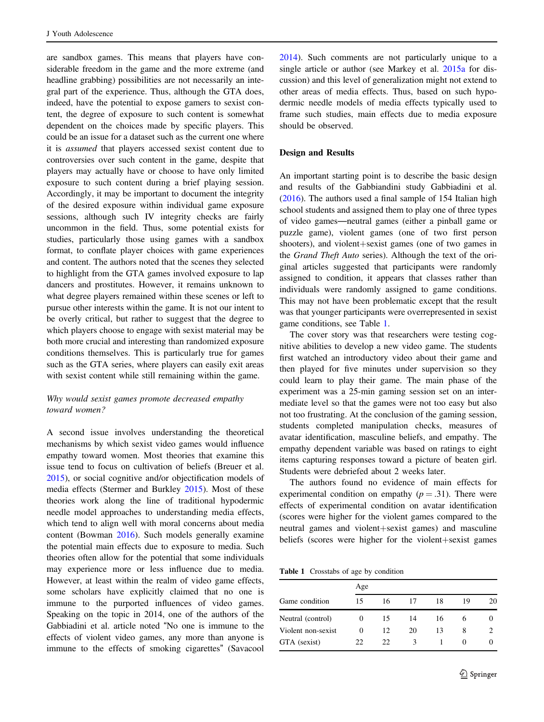<span id="page-2-0"></span>are sandbox games. This means that players have considerable freedom in the game and the more extreme (and headline grabbing) possibilities are not necessarily an integral part of the experience. Thus, although the GTA does, indeed, have the potential to expose gamers to sexist content, the degree of exposure to such content is somewhat dependent on the choices made by specific players. This could be an issue for a dataset such as the current one where it is assumed that players accessed sexist content due to controversies over such content in the game, despite that players may actually have or choose to have only limited exposure to such content during a brief playing session. Accordingly, it may be important to document the integrity of the desired exposure within individual game exposure sessions, although such IV integrity checks are fairly uncommon in the field. Thus, some potential exists for studies, particularly those using games with a sandbox format, to conflate player choices with game experiences and content. The authors noted that the scenes they selected to highlight from the GTA games involved exposure to lap dancers and prostitutes. However, it remains unknown to what degree players remained within these scenes or left to pursue other interests within the game. It is not our intent to be overly critical, but rather to suggest that the degree to which players choose to engage with sexist material may be both more crucial and interesting than randomized exposure conditions themselves. This is particularly true for games such as the GTA series, where players can easily exit areas with sexist content while still remaining within the game.

# Why would sexist games promote decreased empathy toward women?

A second issue involves understanding the theoretical mechanisms by which sexist video games would influence empathy toward women. Most theories that examine this issue tend to focus on cultivation of beliefs (Breuer et al. [2015\)](#page-12-0), or social cognitive and/or objectification models of media effects (Stermer and Burkley [2015](#page-13-0)). Most of these theories work along the line of traditional hypodermic needle model approaches to understanding media effects, which tend to align well with moral concerns about media content (Bowman [2016\)](#page-12-0). Such models generally examine the potential main effects due to exposure to media. Such theories often allow for the potential that some individuals may experience more or less influence due to media. However, at least within the realm of video game effects, some scholars have explicitly claimed that no one is immune to the purported influences of video games. Speaking on the topic in 2014, one of the authors of the Gabbiadini et al. article noted "No one is immune to the effects of violent video games, any more than anyone is immune to the effects of smoking cigarettes" (Savacool

2 Springer

[2014](#page-13-0)). Such comments are not particularly unique to a single article or author (see Markey et al. [2015a](#page-12-0) for discussion) and this level of generalization might not extend to other areas of media effects. Thus, based on such hypodermic needle models of media effects typically used to frame such studies, main effects due to media exposure should be observed.

## Design and Results

An important starting point is to describe the basic design and results of the Gabbiandini study Gabbiadini et al. [\(2016](#page-12-0)). The authors used a final sample of 154 Italian high school students and assigned them to play one of three types of video games—neutral games (either a pinball game or puzzle game), violent games (one of two first person shooters), and violent+sexist games (one of two games in the Grand Theft Auto series). Although the text of the original articles suggested that participants were randomly assigned to condition, it appears that classes rather than individuals were randomly assigned to game conditions. This may not have been problematic except that the result was that younger participants were overrepresented in sexist game conditions, see Table 1.

The cover story was that researchers were testing cognitive abilities to develop a new video game. The students first watched an introductory video about their game and then played for five minutes under supervision so they could learn to play their game. The main phase of the experiment was a 25-min gaming session set on an intermediate level so that the games were not too easy but also not too frustrating. At the conclusion of the gaming session, students completed manipulation checks, measures of avatar identification, masculine beliefs, and empathy. The empathy dependent variable was based on ratings to eight items capturing responses toward a picture of beaten girl. Students were debriefed about 2 weeks later.

The authors found no evidence of main effects for experimental condition on empathy  $(p=.31)$ . There were effects of experimental condition on avatar identification (scores were higher for the violent games compared to the neutral games and violent+sexist games) and masculine beliefs (scores were higher for the violent+sexist games

Table 1 Crosstabs of age by condition

|                    | Age      |    |    |    |    |    |  |
|--------------------|----------|----|----|----|----|----|--|
| Game condition     | 15       | 16 | 17 | 18 | 19 | 20 |  |
| Neutral (control)  | $\theta$ | 15 | 14 | 16 | h  |    |  |
| Violent non-sexist | 0        | 12 | 20 | 13 | 8  |    |  |
| GTA (sexist)       | 22.      | 22 | 3  |    |    |    |  |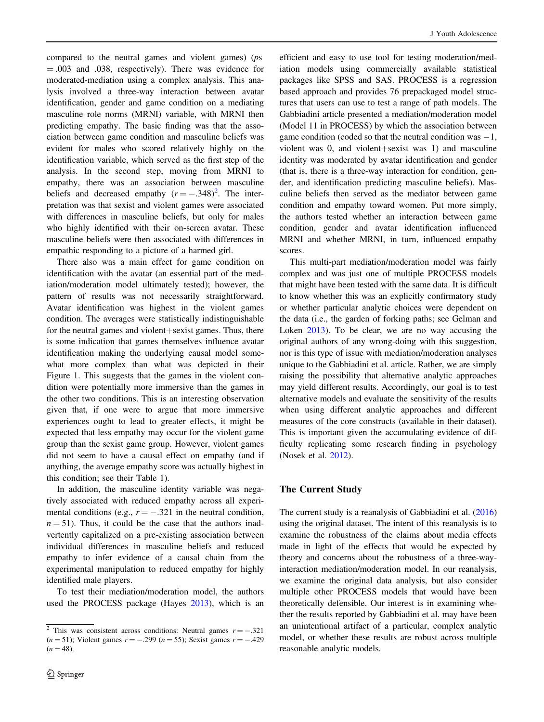compared to the neutral games and violent games) (ps = .003 and .038, respectively). There was evidence for moderated-mediation using a complex analysis. This analysis involved a three-way interaction between avatar identification, gender and game condition on a mediating masculine role norms (MRNI) variable, with MRNI then predicting empathy. The basic finding was that the association between game condition and masculine beliefs was evident for males who scored relatively highly on the identification variable, which served as the first step of the analysis. In the second step, moving from MRNI to empathy, there was an association between masculine beliefs and decreased empathy  $(r = -.348)^2$ . The interpretation was that sexist and violent games were associated with differences in masculine beliefs, but only for males who highly identified with their on-screen avatar. These masculine beliefs were then associated with differences in empathic responding to a picture of a harmed girl.

There also was a main effect for game condition on identification with the avatar (an essential part of the mediation/moderation model ultimately tested); however, the pattern of results was not necessarily straightforward. Avatar identification was highest in the violent games condition. The averages were statistically indistinguishable for the neutral games and violent+sexist games. Thus, there is some indication that games themselves influence avatar identification making the underlying causal model somewhat more complex than what was depicted in their Figure 1. This suggests that the games in the violent condition were potentially more immersive than the games in the other two conditions. This is an interesting observation given that, if one were to argue that more immersive experiences ought to lead to greater effects, it might be expected that less empathy may occur for the violent game group than the sexist game group. However, violent games did not seem to have a causal effect on empathy (and if anything, the average empathy score was actually highest in this condition; see their Table 1).

In addition, the masculine identity variable was negatively associated with reduced empathy across all experimental conditions (e.g.,  $r = -.321$  in the neutral condition,  $n = 51$ ). Thus, it could be the case that the authors inadvertently capitalized on a pre-existing association between individual differences in masculine beliefs and reduced empathy to infer evidence of a causal chain from the experimental manipulation to reduced empathy for highly identified male players.

To test their mediation/moderation model, the authors used the PROCESS package (Hayes [2013\)](#page-12-0), which is an

efficient and easy to use tool for testing moderation/mediation models using commercially available statistical packages like SPSS and SAS. PROCESS is a regression based approach and provides 76 prepackaged model structures that users can use to test a range of path models. The Gabbiadini article presented a mediation/moderation model (Model 11 in PROCESS) by which the association between game condition (coded so that the neutral condition was  $-1$ , violent was 0, and violent+sexist was 1) and masculine identity was moderated by avatar identification and gender (that is, there is a three-way interaction for condition, gender, and identification predicting masculine beliefs). Masculine beliefs then served as the mediator between game condition and empathy toward women. Put more simply, the authors tested whether an interaction between game condition, gender and avatar identification influenced MRNI and whether MRNI, in turn, influenced empathy scores.

This multi-part mediation/moderation model was fairly complex and was just one of multiple PROCESS models that might have been tested with the same data. It is difficult to know whether this was an explicitly confirmatory study or whether particular analytic choices were dependent on the data (i.e., the garden of forking paths; see Gelman and Loken [2013](#page-12-0)). To be clear, we are no way accusing the original authors of any wrong-doing with this suggestion, nor is this type of issue with mediation/moderation analyses unique to the Gabbiadini et al. article. Rather, we are simply raising the possibility that alternative analytic approaches may yield different results. Accordingly, our goal is to test alternative models and evaluate the sensitivity of the results when using different analytic approaches and different measures of the core constructs (available in their dataset). This is important given the accumulating evidence of difficulty replicating some research finding in psychology (Nosek et al. [2012](#page-13-0)).

# The Current Study

The current study is a reanalysis of Gabbiadini et al. [\(2016](#page-12-0)) using the original dataset. The intent of this reanalysis is to examine the robustness of the claims about media effects made in light of the effects that would be expected by theory and concerns about the robustness of a three-wayinteraction mediation/moderation model. In our reanalysis, we examine the original data analysis, but also consider multiple other PROCESS models that would have been theoretically defensible. Our interest is in examining whether the results reported by Gabbiadini et al. may have been an unintentional artifact of a particular, complex analytic model, or whether these results are robust across multiple reasonable analytic models.

<sup>&</sup>lt;sup>2</sup> This was consistent across conditions: Neutral games  $r = -.321$  $(n = 51)$ ; Violent games  $r = -.299$   $(n = 55)$ ; Sexist games  $r = -.429$  $(n = 48)$ .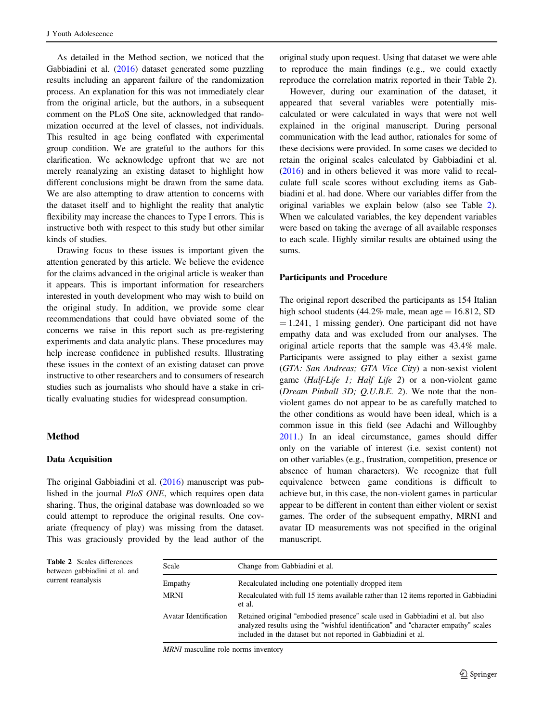<span id="page-4-0"></span>As detailed in the Method section, we noticed that the Gabbiadini et al. ([2016\)](#page-12-0) dataset generated some puzzling results including an apparent failure of the randomization process. An explanation for this was not immediately clear from the original article, but the authors, in a subsequent comment on the PLoS One site, acknowledged that randomization occurred at the level of classes, not individuals. This resulted in age being conflated with experimental group condition. We are grateful to the authors for this clarification. We acknowledge upfront that we are not merely reanalyzing an existing dataset to highlight how different conclusions might be drawn from the same data. We are also attempting to draw attention to concerns with the dataset itself and to highlight the reality that analytic flexibility may increase the chances to Type I errors. This is instructive both with respect to this study but other similar kinds of studies.

Drawing focus to these issues is important given the attention generated by this article. We believe the evidence for the claims advanced in the original article is weaker than it appears. This is important information for researchers interested in youth development who may wish to build on the original study. In addition, we provide some clear recommendations that could have obviated some of the concerns we raise in this report such as pre-registering experiments and data analytic plans. These procedures may help increase confidence in published results. Illustrating these issues in the context of an existing dataset can prove instructive to other researchers and to consumers of research studies such as journalists who should have a stake in critically evaluating studies for widespread consumption.

#### Method

## Data Acquisition

The original Gabbiadini et al. [\(2016](#page-12-0)) manuscript was published in the journal PloS ONE, which requires open data sharing. Thus, the original database was downloaded so we could attempt to reproduce the original results. One covariate (frequency of play) was missing from the dataset. This was graciously provided by the lead author of the original study upon request. Using that dataset we were able to reproduce the main findings (e.g., we could exactly reproduce the correlation matrix reported in their Table 2).

However, during our examination of the dataset, it appeared that several variables were potentially miscalculated or were calculated in ways that were not well explained in the original manuscript. During personal communication with the lead author, rationales for some of these decisions were provided. In some cases we decided to retain the original scales calculated by Gabbiadini et al. [\(2016](#page-12-0)) and in others believed it was more valid to recalculate full scale scores without excluding items as Gabbiadini et al. had done. Where our variables differ from the original variables we explain below (also see Table 2). When we calculated variables, the key dependent variables were based on taking the average of all available responses to each scale. Highly similar results are obtained using the sums.

#### Participants and Procedure

The original report described the participants as 154 Italian high school students (44.2% male, mean age  $= 16.812$ , SD  $= 1.241$ , 1 missing gender). One participant did not have empathy data and was excluded from our analyses. The original article reports that the sample was 43.4% male. Participants were assigned to play either a sexist game (GTA: San Andreas; GTA Vice City) a non-sexist violent game (Half-Life 1; Half Life 2) or a non-violent game (Dream Pinball 3D; Q.U.B.E. 2). We note that the nonviolent games do not appear to be as carefully matched to the other conditions as would have been ideal, which is a common issue in this field (see Adachi and Willoughby [2011](#page-12-0).) In an ideal circumstance, games should differ only on the variable of interest (i.e. sexist content) not on other variables (e.g., frustration, competition, presence or absence of human characters). We recognize that full equivalence between game conditions is difficult to achieve but, in this case, the non-violent games in particular appear to be different in content than either violent or sexist games. The order of the subsequent empathy, MRNI and avatar ID measurements was not specified in the original manuscript.

Table 2 Scales differences between gabbiadini et al. and current reanalysis

| Scale                        | Change from Gabbiadini et al.                                                                                                                                                                                                         |
|------------------------------|---------------------------------------------------------------------------------------------------------------------------------------------------------------------------------------------------------------------------------------|
| Empathy                      | Recalculated including one potentially dropped item                                                                                                                                                                                   |
| MRNI                         | Recalculated with full 15 items available rather than 12 items reported in Gabbiadini<br>et al.                                                                                                                                       |
| <b>Avatar Identification</b> | Retained original "embodied presence" scale used in Gabbiadini et al. but also<br>analyzed results using the "wishful identification" and "character empathy" scales<br>included in the dataset but not reported in Gabbiadini et al. |

MRNI masculine role norms inventory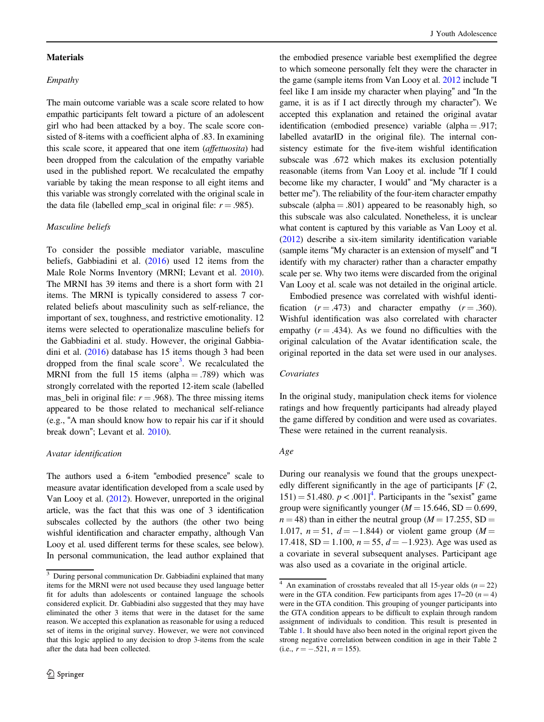#### Materials

# Empathy

The main outcome variable was a scale score related to how empathic participants felt toward a picture of an adolescent girl who had been attacked by a boy. The scale score consisted of 8-items with a coefficient alpha of .83. In examining this scale score, it appeared that one item (affettuosita) had been dropped from the calculation of the empathy variable used in the published report. We recalculated the empathy variable by taking the mean response to all eight items and this variable was strongly correlated with the original scale in the data file (labelled emp\_scal in original file:  $r = .985$ ).

#### Masculine beliefs

To consider the possible mediator variable, masculine beliefs, Gabbiadini et al. [\(2016](#page-12-0)) used 12 items from the Male Role Norms Inventory (MRNI; Levant et al. [2010](#page-12-0)). The MRNI has 39 items and there is a short form with 21 items. The MRNI is typically considered to assess 7 correlated beliefs about masculinity such as self-reliance, the important of sex, toughness, and restrictive emotionality. 12 items were selected to operationalize masculine beliefs for the Gabbiadini et al. study. However, the original Gabbiadini et al. ([2016\)](#page-12-0) database has 15 items though 3 had been dropped from the final scale score<sup>3</sup>. We recalculated the MRNI from the full 15 items (alpha  $= .789$ ) which was strongly correlated with the reported 12-item scale (labelled mas\_beli in original file:  $r = .968$ ). The three missing items appeared to be those related to mechanical self-reliance (e.g., "A man should know how to repair his car if it should break down"; Levant et al. [2010\)](#page-12-0).

#### Avatar identification

The authors used a 6-item "embodied presence" scale to measure avatar identification developed from a scale used by Van Looy et al. ([2012](#page-13-0)). However, unreported in the original article, was the fact that this was one of 3 identification subscales collected by the authors (the other two being wishful identification and character empathy, although Van Looy et al. used different terms for these scales, see below). In personal communication, the lead author explained that

the embodied presence variable best exemplified the degree to which someone personally felt they were the character in the game (sample items from Van Looy et al. [2012](#page-13-0) include "I feel like I am inside my character when playing" and "In the game, it is as if I act directly through my character"). We accepted this explanation and retained the original avatar identification (embodied presence) variable (alpha  $= .917$ ; labelled avatarID in the original file). The internal consistency estimate for the five-item wishful identification subscale was .672 which makes its exclusion potentially reasonable (items from Van Looy et al. include "If I could become like my character, I would" and "My character is a better me"). The reliability of the four-item character empathy subscale (alpha  $= .801$ ) appeared to be reasonably high, so this subscale was also calculated. Nonetheless, it is unclear what content is captured by this variable as Van Looy et al. [\(2012\)](#page-13-0) describe a six-item similarity identification variable (sample items "My character is an extension of myself" and "I identify with my character) rather than a character empathy scale per se. Why two items were discarded from the original Van Looy et al. scale was not detailed in the original article.

Embodied presence was correlated with wishful identification  $(r = .473)$  and character empathy  $(r = .360)$ . Wishful identification was also correlated with character empathy  $(r = .434)$ . As we found no difficulties with the original calculation of the Avatar identification scale, the original reported in the data set were used in our analyses.

# Covariates

In the original study, manipulation check items for violence ratings and how frequently participants had already played the game differed by condition and were used as covariates. These were retained in the current reanalysis.

# Age

During our reanalysis we found that the groups unexpectedly different significantly in the age of participants  $[F(2,$  $151$ ) = 51.480.  $p < .001$ <sup>4</sup>. Participants in the "sexist" game group were significantly younger ( $M = 15.646$ , SD = 0.699,  $n = 48$ ) than in either the neutral group ( $M = 17.255$ , SD = 1.017,  $n = 51$ ,  $d = -1.844$ ) or violent game group ( $M =$ 17.418, SD = 1.100,  $n = 55$ ,  $d = -1.923$ ). Age was used as a covariate in several subsequent analyses. Participant age was also used as a covariate in the original article.

<sup>&</sup>lt;sup>3</sup> During personal communication Dr. Gabbiadini explained that many items for the MRNI were not used because they used language better fit for adults than adolescents or contained language the schools considered explicit. Dr. Gabbiadini also suggested that they may have eliminated the other 3 items that were in the dataset for the same reason. We accepted this explanation as reasonable for using a reduced set of items in the original survey. However, we were not convinced that this logic applied to any decision to drop 3-items from the scale after the data had been collected.

<sup>&</sup>lt;sup>4</sup> An examination of crosstabs revealed that all 15-year olds  $(n = 22)$ were in the GTA condition. Few participants from ages  $17-20$  ( $n = 4$ ) were in the GTA condition. This grouping of younger participants into the GTA condition appears to be difficult to explain through random assignment of individuals to condition. This result is presented in Table [1.](#page-2-0) It should have also been noted in the original report given the strong negative correlation between condition in age in their Table 2  $(i.e., r = -.521, n = 155).$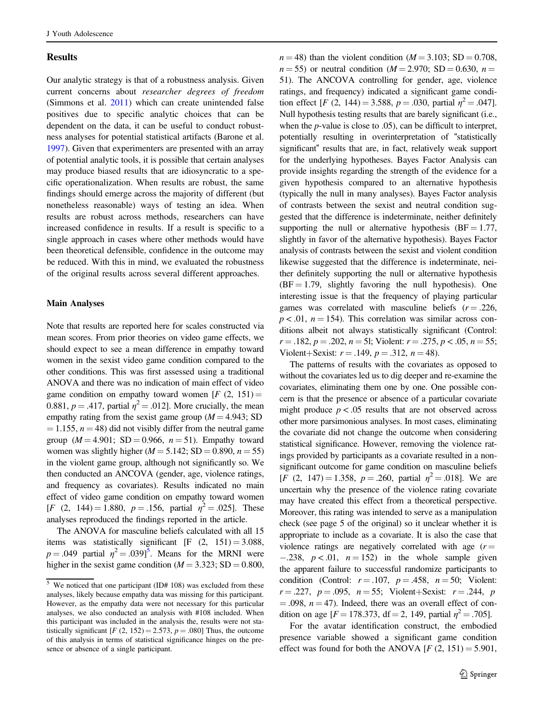#### Results

Our analytic strategy is that of a robustness analysis. Given current concerns about researcher degrees of freedom (Simmons et al. [2011\)](#page-13-0) which can create unintended false positives due to specific analytic choices that can be dependent on the data, it can be useful to conduct robustness analyses for potential statistical artifacts (Barone et al. [1997\)](#page-12-0). Given that experimenters are presented with an array of potential analytic tools, it is possible that certain analyses may produce biased results that are idiosyncratic to a specific operationalization. When results are robust, the same findings should emerge across the majority of different (but nonetheless reasonable) ways of testing an idea. When results are robust across methods, researchers can have increased confidence in results. If a result is specific to a single approach in cases where other methods would have been theoretical defensible, confidence in the outcome may be reduced. With this in mind, we evaluated the robustness of the original results across several different approaches.

#### Main Analyses

Note that results are reported here for scales constructed via mean scores. From prior theories on video game effects, we should expect to see a mean difference in empathy toward women in the sexist video game condition compared to the other conditions. This was first assessed using a traditional ANOVA and there was no indication of main effect of video game condition on empathy toward women  $[F (2, 151) =$ 0.881,  $p = .417$ , partial  $\eta^2 = .012$ . More crucially, the mean empathy rating from the sexist game group  $(M = 4.943; SD)$  $= 1.155$ ,  $n = 48$ ) did not visibly differ from the neutral game group  $(M = 4.901$ ; SD = 0.966,  $n = 51$ ). Empathy toward women was slightly higher ( $M = 5.142$ ; SD = 0.890,  $n = 55$ ) in the violent game group, although not significantly so. We then conducted an ANCOVA (gender, age, violence ratings, and frequency as covariates). Results indicated no main effect of video game condition on empathy toward women [F (2, 144) = 1.880,  $p = .156$ , partial  $\eta^2 = .025$ ]. These analyses reproduced the findings reported in the article.

The ANOVA for masculine beliefs calculated with all 15 items was statistically significant  $[F (2, 151) = 3.088,$  $p = .049$  partial  $\eta^2 = .039$ <sup>5</sup>. Means for the MRNI were higher in the sexist game condition ( $M = 3.323$ ; SD = 0.800,  $n = 48$ ) than the violent condition ( $M = 3.103$ ; SD = 0.708,  $n = 55$ ) or neutral condition ( $M = 2.970$ ; SD = 0.630,  $n =$ 51). The ANCOVA controlling for gender, age, violence ratings, and frequency) indicated a significant game condition effect [F (2, 144) = 3.588,  $p = .030$ , partial  $\eta^2 = .047$ ]. Null hypothesis testing results that are barely significant (i.e., when the *p*-value is close to .05), can be difficult to interpret, potentially resulting in overinterpretation of "statistically significant" results that are, in fact, relatively weak support for the underlying hypotheses. Bayes Factor Analysis can provide insights regarding the strength of the evidence for a given hypothesis compared to an alternative hypothesis (typically the null in many analyses). Bayes Factor analysis of contrasts between the sexist and neutral condition suggested that the difference is indeterminate, neither definitely supporting the null or alternative hypothesis ( $BF = 1.77$ , slightly in favor of the alternative hypothesis). Bayes Factor analysis of contrasts between the sexist and violent condition likewise suggested that the difference is indeterminate, neither definitely supporting the null or alternative hypothesis  $(BF = 1.79$ , slightly favoring the null hypothesis). One interesting issue is that the frequency of playing particular games was correlated with masculine beliefs  $(r = .226, ...)$  $p < .01$ ,  $n = 154$ ). This correlation was similar across conditions albeit not always statistically significant (Control:  $r = .182$ ,  $p = .202$ ,  $n = 51$ ; Violent:  $r = .275$ ,  $p < .05$ ,  $n = 55$ ; Violent+Sexist:  $r = .149$ ,  $p = .312$ ,  $n = 48$ ).

The patterns of results with the covariates as opposed to without the covariates led us to dig deeper and re-examine the covariates, eliminating them one by one. One possible concern is that the presence or absence of a particular covariate might produce  $p < .05$  results that are not observed across other more parsimonious analyses. In most cases, eliminating the covariate did not change the outcome when considering statistical significance. However, removing the violence ratings provided by participants as a covariate resulted in a nonsignificant outcome for game condition on masculine beliefs [F (2, 147) = 1.358,  $p = .260$ , partial  $\eta^2 = .018$ ]. We are uncertain why the presence of the violence rating covariate may have created this effect from a theoretical perspective. Moreover, this rating was intended to serve as a manipulation check (see page 5 of the original) so it unclear whether it is appropriate to include as a covariate. It is also the case that violence ratings are negatively correlated with age  $(r =$  $-0.238$ ,  $p < 0.01$ ,  $n = 152$ ) in the whole sample given the apparent failure to successful randomize participants to condition (Control:  $r = .107$ ,  $p = .458$ ,  $n = 50$ ; Violent:  $r = .227$ ,  $p = .095$ ,  $n = 55$ ; Violent+Sexist:  $r = .244$ , p  $= .098$ ,  $n = 47$ ). Indeed, there was an overall effect of condition on age  $[F = 178.373, df = 2, 149, partial \eta^2 = .705]$ .

For the avatar identification construct, the embodied presence variable showed a significant game condition effect was found for both the ANOVA  $[F (2, 151) = 5.901$ ,

 $5$  We noticed that one participant (ID# 108) was excluded from these analyses, likely because empathy data was missing for this participant. However, as the empathy data were not necessary for this particular analyses, we also conducted an analysis with #108 included. When this participant was included in the analysis the, results were not statistically significant  $[F (2, 152) = 2.573, p = .080]$  Thus, the outcome of this analysis in terms of statistical significance hinges on the presence or absence of a single participant.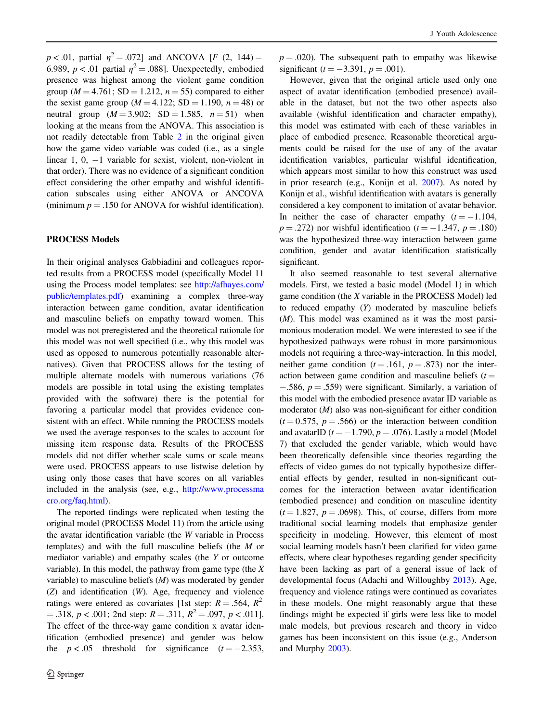$p < .01$ , partial  $\eta^2 = .072$ ] and ANCOVA [F (2, 144) = 6.989,  $p < .01$  partial  $\eta^2 = .088$ ]. Unexpectedly, embodied presence was highest among the violent game condition group ( $M = 4.761$ ; SD = 1.212,  $n = 55$ ) compared to either the sexist game group ( $M = 4.122$ ; SD = 1.190,  $n = 48$ ) or neutral group  $(M = 3.902; SD = 1.585, n = 51)$  when looking at the means from the ANOVA. This association is not readily detectable from Table [2](#page-4-0) in the original given how the game video variable was coded (i.e., as a single linear 1, 0, −1 variable for sexist, violent, non-violent in that order). There was no evidence of a significant condition effect considering the other empathy and wishful identification subscales using either ANOVA or ANCOVA (minimum  $p = .150$  for ANOVA for wishful identification).

# PROCESS Models

In their original analyses Gabbiadini and colleagues reported results from a PROCESS model (specifically Model 11 using the Process model templates: see [http://afhayes.com/](http://afhayes.com/public/templates.pdf) [public/templates.pdf\)](http://afhayes.com/public/templates.pdf) examining a complex three-way interaction between game condition, avatar identification and masculine beliefs on empathy toward women. This model was not preregistered and the theoretical rationale for this model was not well specified (i.e., why this model was used as opposed to numerous potentially reasonable alternatives). Given that PROCESS allows for the testing of multiple alternate models with numerous variations (76 models are possible in total using the existing templates provided with the software) there is the potential for favoring a particular model that provides evidence consistent with an effect. While running the PROCESS models we used the average responses to the scales to account for missing item response data. Results of the PROCESS models did not differ whether scale sums or scale means were used. PROCESS appears to use listwise deletion by using only those cases that have scores on all variables included in the analysis (see, e.g., [http://www.processma](http://www.processmacro.org/faq.html) [cro.org/faq.html](http://www.processmacro.org/faq.html)).

The reported findings were replicated when testing the original model (PROCESS Model 11) from the article using the avatar identification variable (the W variable in Process templates) and with the full masculine beliefs (the M or mediator variable) and empathy scales (the Y or outcome variable). In this model, the pathway from game type (the  $X$ variable) to masculine beliefs  $(M)$  was moderated by gender (Z) and identification (W). Age, frequency and violence ratings were entered as covariates [1st step:  $R = .564$ ,  $R^2$  $= .318, p < .001$ ; 2nd step:  $R = .311, R^2 = .097, p < .011$ . The effect of the three-way game condition x avatar identification (embodied presence) and gender was below the  $p < .05$  threshold for significance  $(t = -2.353)$ ,  $p = .020$ ). The subsequent path to empathy was likewise significant ( $t = -3.391$ ,  $p = .001$ ).

However, given that the original article used only one aspect of avatar identification (embodied presence) available in the dataset, but not the two other aspects also available (wishful identification and character empathy), this model was estimated with each of these variables in place of embodied presence. Reasonable theoretical arguments could be raised for the use of any of the avatar identification variables, particular wishful identification, which appears most similar to how this construct was used in prior research (e.g., Konijn et al. [2007\)](#page-12-0). As noted by Konijn et al., wishful identification with avatars is generally considered a key component to imitation of avatar behavior. In neither the case of character empathy  $(t = -1.104$ ,  $p = .272$ ) nor wishful identification ( $t = -1.347$ ,  $p = .180$ ) was the hypothesized three-way interaction between game condition, gender and avatar identification statistically significant.

It also seemed reasonable to test several alternative models. First, we tested a basic model (Model 1) in which game condition (the X variable in the PROCESS Model) led to reduced empathy (Y) moderated by masculine beliefs (M). This model was examined as it was the most parsimonious moderation model. We were interested to see if the hypothesized pathways were robust in more parsimonious models not requiring a three-way-interaction. In this model, neither game condition  $(t = .161, p = .873)$  nor the interaction between game condition and masculine beliefs  $(t =$  $-0.586$ ,  $p = 0.559$ ) were significant. Similarly, a variation of this model with the embodied presence avatar ID variable as moderator  $(M)$  also was non-significant for either condition  $(t = 0.575, p = .566)$  or the interaction between condition and avatarID  $(t = -1.790, p = .076)$ . Lastly a model (Model 7) that excluded the gender variable, which would have been theoretically defensible since theories regarding the effects of video games do not typically hypothesize differential effects by gender, resulted in non-significant outcomes for the interaction between avatar identification (embodied presence) and condition on masculine identity  $(t = 1.827, p = .0698)$ . This, of course, differs from more traditional social learning models that emphasize gender specificity in modeling. However, this element of most social learning models hasn't been clarified for video game effects, where clear hypotheses regarding gender specificity have been lacking as part of a general issue of lack of developmental focus (Adachi and Willoughby [2013](#page-12-0)). Age, frequency and violence ratings were continued as covariates in these models. One might reasonably argue that these findings might be expected if girls were less like to model male models, but previous research and theory in video games has been inconsistent on this issue (e.g., Anderson and Murphy [2003](#page-12-0)).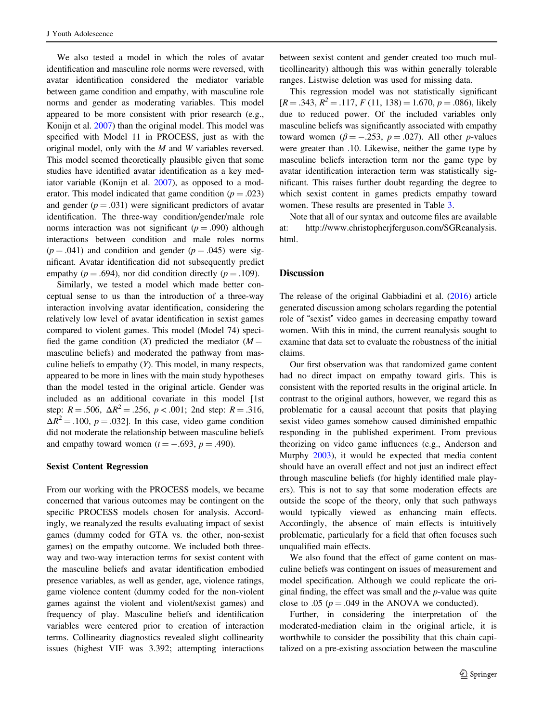We also tested a model in which the roles of avatar identification and masculine role norms were reversed, with avatar identification considered the mediator variable between game condition and empathy, with masculine role norms and gender as moderating variables. This model appeared to be more consistent with prior research (e.g., Konijn et al. [2007\)](#page-12-0) than the original model. This model was specified with Model 11 in PROCESS, just as with the original model, only with the M and W variables reversed. This model seemed theoretically plausible given that some studies have identified avatar identification as a key med-iator variable (Konijn et al. [2007\)](#page-12-0), as opposed to a moderator. This model indicated that game condition ( $p = .023$ ) and gender  $(p = .031)$  were significant predictors of avatar identification. The three-way condition/gender/male role norms interaction was not significant ( $p = .090$ ) although interactions between condition and male roles norms  $(p = .041)$  and condition and gender  $(p = .045)$  were significant. Avatar identification did not subsequently predict empathy ( $p = .694$ ), nor did condition directly ( $p = .109$ ).

Similarly, we tested a model which made better conceptual sense to us than the introduction of a three-way interaction involving avatar identification, considering the relatively low level of avatar identification in sexist games compared to violent games. This model (Model 74) specified the game condition  $(X)$  predicted the mediator  $(M =$ masculine beliefs) and moderated the pathway from masculine beliefs to empathy  $(Y)$ . This model, in many respects, appeared to be more in lines with the main study hypotheses than the model tested in the original article. Gender was included as an additional covariate in this model [1st step:  $R = .506$ ,  $\Delta R^2 = .256$ ,  $p < .001$ ; 2nd step:  $R = .316$ ,  $\Delta R^2 = .100$ ,  $p = .032$ . In this case, video game condition did not moderate the relationship between masculine beliefs and empathy toward women  $(t = -.693, p = .490)$ .

#### Sexist Content Regression

From our working with the PROCESS models, we became concerned that various outcomes may be contingent on the specific PROCESS models chosen for analysis. Accordingly, we reanalyzed the results evaluating impact of sexist games (dummy coded for GTA vs. the other, non-sexist games) on the empathy outcome. We included both threeway and two-way interaction terms for sexist content with the masculine beliefs and avatar identification embodied presence variables, as well as gender, age, violence ratings, game violence content (dummy coded for the non-violent games against the violent and violent/sexist games) and frequency of play. Masculine beliefs and identification variables were centered prior to creation of interaction terms. Collinearity diagnostics revealed slight collinearity issues (highest VIF was 3.392; attempting interactions between sexist content and gender created too much multicollinearity) although this was within generally tolerable ranges. Listwise deletion was used for missing data.

This regression model was not statistically significant  $[R = .343, R^2 = .117, F(11, 138) = 1.670, p = .086)$ , likely due to reduced power. Of the included variables only masculine beliefs was significantly associated with empathy toward women ( $\beta = -.253$ ,  $p = .027$ ). All other *p*-values were greater than .10. Likewise, neither the game type by masculine beliefs interaction term nor the game type by avatar identification interaction term was statistically significant. This raises further doubt regarding the degree to which sexist content in games predicts empathy toward women. These results are presented in Table [3](#page-9-0).

Note that all of our syntax and outcome files are available at: http://www.christopherjferguson.com/SGReanalysis. html.

# **Discussion**

The release of the original Gabbiadini et al. ([2016\)](#page-12-0) article generated discussion among scholars regarding the potential role of "sexist" video games in decreasing empathy toward women. With this in mind, the current reanalysis sought to examine that data set to evaluate the robustness of the initial claims.

Our first observation was that randomized game content had no direct impact on empathy toward girls. This is consistent with the reported results in the original article. In contrast to the original authors, however, we regard this as problematic for a causal account that posits that playing sexist video games somehow caused diminished empathic responding in the published experiment. From previous theorizing on video game influences (e.g., Anderson and Murphy [2003\)](#page-12-0), it would be expected that media content should have an overall effect and not just an indirect effect through masculine beliefs (for highly identified male players). This is not to say that some moderation effects are outside the scope of the theory, only that such pathways would typically viewed as enhancing main effects. Accordingly, the absence of main effects is intuitively problematic, particularly for a field that often focuses such unqualified main effects.

We also found that the effect of game content on masculine beliefs was contingent on issues of measurement and model specification. Although we could replicate the original finding, the effect was small and the p-value was quite close to .05 ( $p = .049$  in the ANOVA we conducted).

Further, in considering the interpretation of the moderated-mediation claim in the original article, it is worthwhile to consider the possibility that this chain capitalized on a pre-existing association between the masculine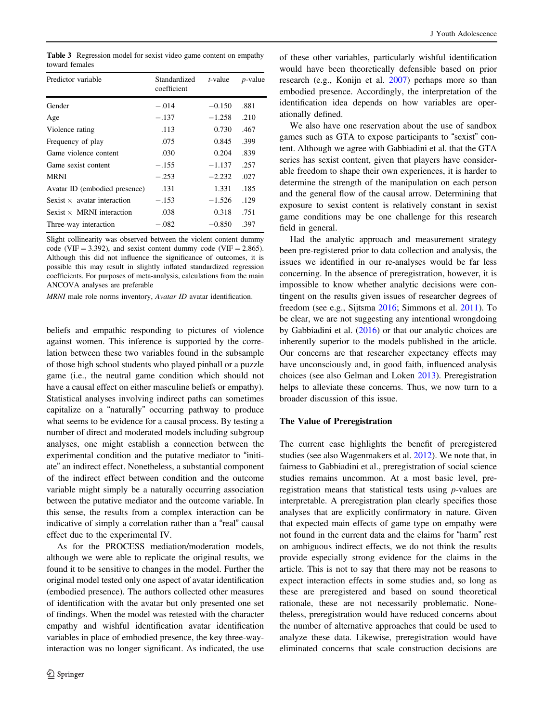<span id="page-9-0"></span>Table 3 Regression model for sexist video game content on empathy toward females

| Predictor variable                 | Standardized<br>coefficient | $t$ -value | <i>p</i> -value |
|------------------------------------|-----------------------------|------------|-----------------|
| Gender                             | $-.014$                     | $-0.150$   | .881            |
| Age                                | $-.137$                     | $-1.258$   | .210            |
| Violence rating                    | .113                        | 0.730      | .467            |
| Frequency of play                  | .075                        | 0.845      | .399            |
| Game violence content              | .030                        | 0.204      | .839            |
| Game sexist content                | $-.155$                     | $-1.137$   | .257            |
| <b>MRNI</b>                        | $-.253$                     | $-2.232$   | .027            |
| Avatar ID (embodied presence)      | .131                        | 1.331      | .185            |
| Sexist $\times$ avatar interaction | $-.153$                     | $-1.526$   | .129            |
| Sexist $\times$ MRNI interaction   | .038                        | 0.318      | .751            |
| Three-way interaction              | $-.082$                     | $-0.850$   | .397            |
|                                    |                             |            |                 |

Slight collinearity was observed between the violent content dummy code (VIF = 3.392), and sexist content dummy code (VIF = 2.865). Although this did not influence the significance of outcomes, it is possible this may result in slightly inflated standardized regression coefficients. For purposes of meta-analysis, calculations from the main ANCOVA analyses are preferable

MRNI male role norms inventory, Avatar ID avatar identification.

beliefs and empathic responding to pictures of violence against women. This inference is supported by the correlation between these two variables found in the subsample of those high school students who played pinball or a puzzle game (i.e., the neutral game condition which should not have a causal effect on either masculine beliefs or empathy). Statistical analyses involving indirect paths can sometimes capitalize on a "naturally" occurring pathway to produce what seems to be evidence for a causal process. By testing a number of direct and moderated models including subgroup analyses, one might establish a connection between the experimental condition and the putative mediator to "initiate" an indirect effect. Nonetheless, a substantial component of the indirect effect between condition and the outcome variable might simply be a naturally occurring association between the putative mediator and the outcome variable. In this sense, the results from a complex interaction can be indicative of simply a correlation rather than a "real" causal effect due to the experimental IV.

As for the PROCESS mediation/moderation models, although we were able to replicate the original results, we found it to be sensitive to changes in the model. Further the original model tested only one aspect of avatar identification (embodied presence). The authors collected other measures of identification with the avatar but only presented one set of findings. When the model was retested with the character empathy and wishful identification avatar identification variables in place of embodied presence, the key three-wayinteraction was no longer significant. As indicated, the use of these other variables, particularly wishful identification would have been theoretically defensible based on prior research (e.g., Konijn et al. [2007\)](#page-12-0) perhaps more so than embodied presence. Accordingly, the interpretation of the identification idea depends on how variables are operationally defined.

We also have one reservation about the use of sandbox games such as GTA to expose participants to "sexist" content. Although we agree with Gabbiadini et al. that the GTA series has sexist content, given that players have considerable freedom to shape their own experiences, it is harder to determine the strength of the manipulation on each person and the general flow of the causal arrow. Determining that exposure to sexist content is relatively constant in sexist game conditions may be one challenge for this research field in general.

Had the analytic approach and measurement strategy been pre-registered prior to data collection and analysis, the issues we identified in our re-analyses would be far less concerning. In the absence of preregistration, however, it is impossible to know whether analytic decisions were contingent on the results given issues of researcher degrees of freedom (see e.g., Sijtsma [2016](#page-13-0); Simmons et al. [2011](#page-13-0)). To be clear, we are not suggesting any intentional wrongdoing by Gabbiadini et al. ([2016\)](#page-12-0) or that our analytic choices are inherently superior to the models published in the article. Our concerns are that researcher expectancy effects may have unconsciously and, in good faith, influenced analysis choices (see also Gelman and Loken [2013](#page-12-0)). Preregistration helps to alleviate these concerns. Thus, we now turn to a broader discussion of this issue.

## The Value of Preregistration

The current case highlights the benefit of preregistered studies (see also Wagenmakers et al. [2012](#page-13-0)). We note that, in fairness to Gabbiadini et al., preregistration of social science studies remains uncommon. At a most basic level, preregistration means that statistical tests using p-values are interpretable. A preregistration plan clearly specifies those analyses that are explicitly confirmatory in nature. Given that expected main effects of game type on empathy were not found in the current data and the claims for "harm" rest on ambiguous indirect effects, we do not think the results provide especially strong evidence for the claims in the article. This is not to say that there may not be reasons to expect interaction effects in some studies and, so long as these are preregistered and based on sound theoretical rationale, these are not necessarily problematic. Nonetheless, preregistration would have reduced concerns about the number of alternative approaches that could be used to analyze these data. Likewise, preregistration would have eliminated concerns that scale construction decisions are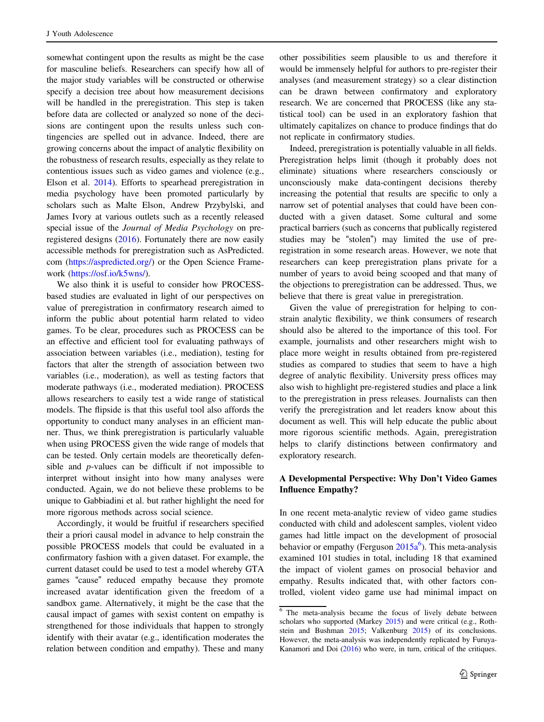somewhat contingent upon the results as might be the case for masculine beliefs. Researchers can specify how all of the major study variables will be constructed or otherwise specify a decision tree about how measurement decisions will be handled in the preregistration. This step is taken before data are collected or analyzed so none of the decisions are contingent upon the results unless such contingencies are spelled out in advance. Indeed, there are growing concerns about the impact of analytic flexibility on the robustness of research results, especially as they relate to contentious issues such as video games and violence (e.g., Elson et al. [2014\)](#page-12-0). Efforts to spearhead preregistration in media psychology have been promoted particularly by scholars such as Malte Elson, Andrew Przybylski, and James Ivory at various outlets such as a recently released special issue of the Journal of Media Psychology on preregistered designs [\(2016](#page-12-0)). Fortunately there are now easily accessible methods for preregistration such as AsPredicted. com [\(https://aspredicted.org/\)](https://aspredicted.org/) or the Open Science Framework ([https://osf.io/k5wns/\)](https://osf.io/k5wns/).

We also think it is useful to consider how PROCESSbased studies are evaluated in light of our perspectives on value of preregistration in confirmatory research aimed to inform the public about potential harm related to video games. To be clear, procedures such as PROCESS can be an effective and efficient tool for evaluating pathways of association between variables (i.e., mediation), testing for factors that alter the strength of association between two variables (i.e., moderation), as well as testing factors that moderate pathways (i.e., moderated mediation). PROCESS allows researchers to easily test a wide range of statistical models. The flipside is that this useful tool also affords the opportunity to conduct many analyses in an efficient manner. Thus, we think preregistration is particularly valuable when using PROCESS given the wide range of models that can be tested. Only certain models are theoretically defensible and p-values can be difficult if not impossible to interpret without insight into how many analyses were conducted. Again, we do not believe these problems to be unique to Gabbiadini et al. but rather highlight the need for more rigorous methods across social science.

Accordingly, it would be fruitful if researchers specified their a priori causal model in advance to help constrain the possible PROCESS models that could be evaluated in a confirmatory fashion with a given dataset. For example, the current dataset could be used to test a model whereby GTA games "cause" reduced empathy because they promote increased avatar identification given the freedom of a sandbox game. Alternatively, it might be the case that the causal impact of games with sexist content on empathy is strengthened for those individuals that happen to strongly identify with their avatar (e.g., identification moderates the relation between condition and empathy). These and many other possibilities seem plausible to us and therefore it would be immensely helpful for authors to pre-register their analyses (and measurement strategy) so a clear distinction can be drawn between confirmatory and exploratory research. We are concerned that PROCESS (like any statistical tool) can be used in an exploratory fashion that ultimately capitalizes on chance to produce findings that do not replicate in confirmatory studies.

Indeed, preregistration is potentially valuable in all fields. Preregistration helps limit (though it probably does not eliminate) situations where researchers consciously or unconsciously make data-contingent decisions thereby increasing the potential that results are specific to only a narrow set of potential analyses that could have been conducted with a given dataset. Some cultural and some practical barriers (such as concerns that publically registered studies may be "stolen") may limited the use of preregistration in some research areas. However, we note that researchers can keep preregistration plans private for a number of years to avoid being scooped and that many of the objections to preregistration can be addressed. Thus, we believe that there is great value in preregistration.

Given the value of preregistration for helping to constrain analytic flexibility, we think consumers of research should also be altered to the importance of this tool. For example, journalists and other researchers might wish to place more weight in results obtained from pre-registered studies as compared to studies that seem to have a high degree of analytic flexibility. University press offices may also wish to highlight pre-registered studies and place a link to the preregistration in press releases. Journalists can then verify the preregistration and let readers know about this document as well. This will help educate the public about more rigorous scientific methods. Again, preregistration helps to clarify distinctions between confirmatory and exploratory research.

# A Developmental Perspective: Why Don't Video Games Influence Empathy?

In one recent meta-analytic review of video game studies conducted with child and adolescent samples, violent video games had little impact on the development of prosocial behavior or empathy (Ferguson  $2015a^6$  $2015a^6$ ). This meta-analysis examined 101 studies in total, including 18 that examined the impact of violent games on prosocial behavior and empathy. Results indicated that, with other factors controlled, violent video game use had minimal impact on

 $6$  The meta-analysis became the focus of lively debate between scholars who supported (Markey [2015](#page-12-0)) and were critical (e.g., Rothstein and Bushman [2015](#page-13-0); Valkenburg [2015\)](#page-13-0) of its conclusions. However, the meta-analysis was independently replicated by Furuya-Kanamori and Doi ([2016\)](#page-12-0) who were, in turn, critical of the critiques.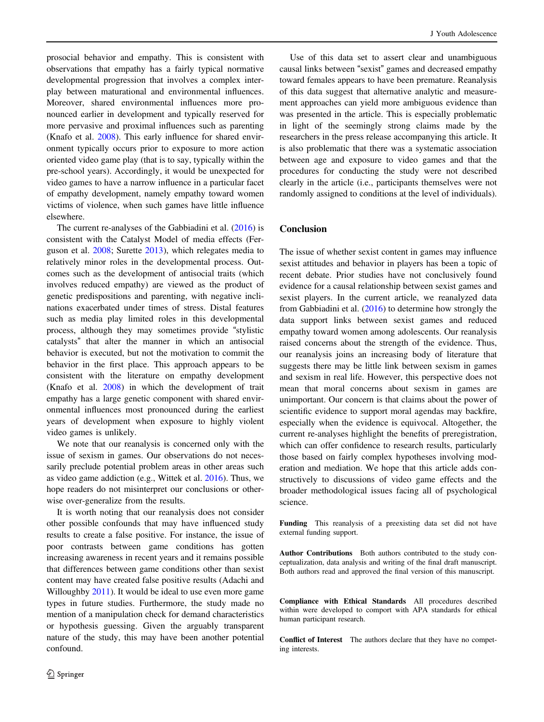prosocial behavior and empathy. This is consistent with observations that empathy has a fairly typical normative developmental progression that involves a complex interplay between maturational and environmental influences. Moreover, shared environmental influences more pronounced earlier in development and typically reserved for more pervasive and proximal influences such as parenting (Knafo et al. [2008\)](#page-12-0). This early influence for shared environment typically occurs prior to exposure to more action oriented video game play (that is to say, typically within the pre-school years). Accordingly, it would be unexpected for video games to have a narrow influence in a particular facet of empathy development, namely empathy toward women victims of violence, when such games have little influence elsewhere.

The current re-analyses of the Gabbiadini et al. ([2016\)](#page-12-0) is consistent with the Catalyst Model of media effects (Ferguson et al. [2008;](#page-12-0) Surette [2013\)](#page-13-0), which relegates media to relatively minor roles in the developmental process. Outcomes such as the development of antisocial traits (which involves reduced empathy) are viewed as the product of genetic predispositions and parenting, with negative inclinations exacerbated under times of stress. Distal features such as media play limited roles in this developmental process, although they may sometimes provide "stylistic catalysts" that alter the manner in which an antisocial behavior is executed, but not the motivation to commit the behavior in the first place. This approach appears to be consistent with the literature on empathy development (Knafo et al. [2008\)](#page-12-0) in which the development of trait empathy has a large genetic component with shared environmental influences most pronounced during the earliest years of development when exposure to highly violent video games is unlikely.

We note that our reanalysis is concerned only with the issue of sexism in games. Our observations do not necessarily preclude potential problem areas in other areas such as video game addiction (e.g., Wittek et al. [2016](#page-13-0)). Thus, we hope readers do not misinterpret our conclusions or otherwise over-generalize from the results.

It is worth noting that our reanalysis does not consider other possible confounds that may have influenced study results to create a false positive. For instance, the issue of poor contrasts between game conditions has gotten increasing awareness in recent years and it remains possible that differences between game conditions other than sexist content may have created false positive results (Adachi and Willoughby [2011\)](#page-12-0). It would be ideal to use even more game types in future studies. Furthermore, the study made no mention of a manipulation check for demand characteristics or hypothesis guessing. Given the arguably transparent nature of the study, this may have been another potential confound.

Use of this data set to assert clear and unambiguous causal links between "sexist" games and decreased empathy toward females appears to have been premature. Reanalysis of this data suggest that alternative analytic and measurement approaches can yield more ambiguous evidence than was presented in the article. This is especially problematic in light of the seemingly strong claims made by the researchers in the press release accompanying this article. It is also problematic that there was a systematic association between age and exposure to video games and that the procedures for conducting the study were not described clearly in the article (i.e., participants themselves were not randomly assigned to conditions at the level of individuals).

# Conclusion

The issue of whether sexist content in games may influence sexist attitudes and behavior in players has been a topic of recent debate. Prior studies have not conclusively found evidence for a causal relationship between sexist games and sexist players. In the current article, we reanalyzed data from Gabbiadini et al. [\(2016](#page-12-0)) to determine how strongly the data support links between sexist games and reduced empathy toward women among adolescents. Our reanalysis raised concerns about the strength of the evidence. Thus, our reanalysis joins an increasing body of literature that suggests there may be little link between sexism in games and sexism in real life. However, this perspective does not mean that moral concerns about sexism in games are unimportant. Our concern is that claims about the power of scientific evidence to support moral agendas may backfire, especially when the evidence is equivocal. Altogether, the current re-analyses highlight the benefits of preregistration, which can offer confidence to research results, particularly those based on fairly complex hypotheses involving moderation and mediation. We hope that this article adds constructively to discussions of video game effects and the broader methodological issues facing all of psychological science.

Funding This reanalysis of a preexisting data set did not have external funding support.

Author Contributions Both authors contributed to the study conceptualization, data analysis and writing of the final draft manuscript. Both authors read and approved the final version of this manuscript.

Compliance with Ethical Standards All procedures described within were developed to comport with APA standards for ethical human participant research.

Conflict of Interest The authors declare that they have no competing interests.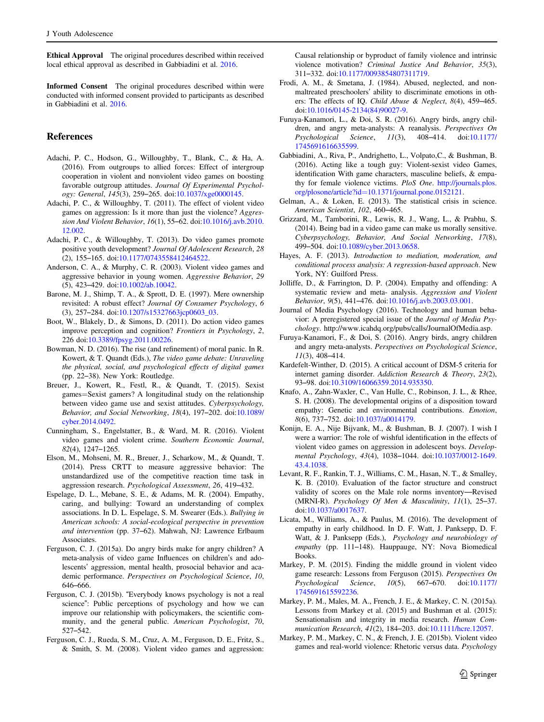<span id="page-12-0"></span>Ethical Approval The original procedures described within received local ethical approval as described in Gabbiadini et al. 2016.

Informed Consent The original procedures described within were conducted with informed consent provided to participants as described in Gabbiadini et al. 2016.

# References

- Adachi, P. C., Hodson, G., Willoughby, T., Blank, C., & Ha, A. (2016). From outgroups to allied forces: Effect of intergroup cooperation in violent and nonviolent video games on boosting favorable outgroup attitudes. Journal Of Experimental Psychology: General, 145(3), 259–265. doi[:10.1037/xge0000145.](http://dx.doi.org/10.1037/xge0000145)
- Adachi, P. C., & Willoughby, T. (2011). The effect of violent video games on aggression: Is it more than just the violence? Aggression And Violent Behavior, 16(1), 55–62. doi:[10.1016/j.avb.2010.](http://dx.doi.org/10.1016/j.avb.2010.12.002) [12.002](http://dx.doi.org/10.1016/j.avb.2010.12.002).
- Adachi, P. C., & Willoughby, T. (2013). Do video games promote positive youth development? Journal Of Adolescent Research, 28 (2), 155–165. doi[:10.1177/0743558412464522.](http://dx.doi.org/10.1177/0743558412464522)
- Anderson, C. A., & Murphy, C. R. (2003). Violent video games and aggressive behavior in young women. Aggressive Behavior, 29 (5), 423–429. doi[:10.1002/ab.10042](http://dx.doi.org/10.1002/ab.10042).
- Barone, M. J., Shimp, T. A., & Sprott, D. E. (1997). Mere ownership revisited: A robust effect? Journal Of Consumer Psychology, 6 (3), 257–284. doi[:10.1207/s15327663jcp0603\\_03](http://dx.doi.org/10.1207/s15327663jcp0603_03).
- Boot, W., Blakely, D., & Simons, D. (2011). Do action video games improve perception and cognition? Frontiers in Psychology, 2, 226 doi:[10.3389/fpsyg.2011.00226](http://dx.doi.org/10.3389/fpsyg.2011.00226).
- Bowman, N. D. (2016). The rise (and refinement) of moral panic. In R. Kowert, & T. Quandt (Eds.), The video game debate: Unraveling the physical, social, and psychological effects of digital games (pp. 22–38). New York: Routledge.
- Breuer, J., Kowert, R., Festl, R., & Quandt, T. (2015). Sexist games=Sexist gamers? A longitudinal study on the relationship between video game use and sexist attitudes. Cyberpsychology, Behavior, and Social Networking, 18(4), 197–202. doi[:10.1089/](http://dx.doi.org/10.1089/cyber.2014.0492) [cyber.2014.0492.](http://dx.doi.org/10.1089/cyber.2014.0492)
- Cunningham, S., Engelstatter, B., & Ward, M. R. (2016). Violent video games and violent crime. Southern Economic Journal, 82(4), 1247–1265.
- Elson, M., Mohseni, M. R., Breuer, J., Scharkow, M., & Quandt, T. (2014). Press CRTT to measure aggressive behavior: The unstandardized use of the competitive reaction time task in aggression research. Psychological Assessment, 26, 419–432.
- Espelage, D. L., Mebane, S. E., & Adams, M. R. (2004). Empathy, caring, and bullying: Toward an understanding of complex associations. In D. L. Espelage, S. M. Swearer (Eds.). Bullying in American schools: A social-ecological perspective in prevention and intervention (pp. 37–62). Mahwah, NJ: Lawrence Erlbaum Associates.
- Ferguson, C. J. (2015a). Do angry birds make for angry children? A meta-analysis of video game Influences on children's and adolescents' aggression, mental health, prosocial behavior and academic performance. Perspectives on Psychological Science, 10, 646–666.
- Ferguson, C. J. (2015b). "Everybody knows psychology is not a real science": Public perceptions of psychology and how we can improve our relationship with policymakers, the scientific community, and the general public. American Psychologist, 70, 527–542.
- Ferguson, C. J., Rueda, S. M., Cruz, A. M., Ferguson, D. E., Fritz, S., & Smith, S. M. (2008). Violent video games and aggression:

Causal relationship or byproduct of family violence and intrinsic violence motivation? Criminal Justice And Behavior, 35(3), 311–332. doi:[10.1177/0093854807311719](http://dx.doi.org/10.1177/0093854807311719).

- Frodi, A. M., & Smetana, J. (1984). Abused, neglected, and nonmaltreated preschoolers' ability to discriminate emotions in others: The effects of IQ. Child Abuse & Neglect, 8(4), 459–465. doi[:10.1016/0145-2134\(84\)90027-9.](http://dx.doi.org/10.1016/0145-2134(84)90027-9)
- Furuya-Kanamori, L., & Doi, S. R. (2016). Angry birds, angry children, and angry meta-analysts: A reanalysis. Perspectives On Psychological Science, 11(3), 408–414. doi[:10.1177/](http://dx.doi.org/10.1177/1745691616635599) [1745691616635599.](http://dx.doi.org/10.1177/1745691616635599)
- Gabbiadini, A., Riva, P., Andrighetto, L., Volpato,C., & Bushman, B. (2016). Acting like a tough guy: Violent-sexist video Games, identification With game characters, masculine beliefs, & empathy for female violence victims. PloS One. [http://journals.plos.](http://journals.plos.org/plosone/article?id=10.1371/journal.pone.0152121) org/plosone/article?id=[10.1371/journal.pone.0152121](http://journals.plos.org/plosone/article?id=10.1371/journal.pone.0152121).
- Gelman, A., & Loken, E. (2013). The statistical crisis in science. American Scientist, 102, 460–465.
- Grizzard, M., Tamborini, R., Lewis, R. J., Wang, L., & Prabhu, S. (2014). Being bad in a video game can make us morally sensitive. Cyberpsychology, Behavior, And Social Networking, 17(8), 499–504. doi:[10.1089/cyber.2013.0658](http://dx.doi.org/10.1089/cyber.2013.0658).
- Hayes, A. F. (2013). Introduction to mediation, moderation, and conditional process analysis: A regression-based approach. New York, NY: Guilford Press.
- Jolliffe, D., & Farrington, D. P. (2004). Empathy and offending: A systematic review and meta- analysis. Aggression and Violent Behavior, 9(5), 441–476. doi[:10.1016/j.avb.2003.03.001](http://dx.doi.org/10.1016/j.avb.2003.03.001).
- Journal of Media Psychology (2016). Technology and human behavior: A preregistered special issue of the Journal of Media Psychology. http://www.icahdq.org/pubs/calls/JournalOfMedia.asp.
- Furuya-Kanamori, F., & Doi, S. (2016). Angry birds, angry children and angry meta-analysts. Perspectives on Psychological Science, 11(3), 408–414.
- Kardefelt-Winther, D. (2015). A critical account of DSM-5 criteria for internet gaming disorder. Addiction Research & Theory, 23(2), 93–98. doi[:10.3109/16066359.2014.935350.](http://dx.doi.org/10.3109/16066359.2014.935350)
- Knafo, A., Zahn-Waxler, C., Van Hulle, C., Robinson, J. L., & Rhee, S. H. (2008). The developmental origins of a disposition toward empathy: Genetic and environmental contributions. Emotion, 8(6), 737–752. doi:[10.1037/a0014179.](http://dx.doi.org/10.1037/a0014179)
- Konijn, E. A., Nije Bijvank, M., & Bushman, B. J. (2007). I wish I were a warrior: The role of wishful identification in the effects of violent video games on aggression in adolescent boys. Developmental Psychology, 43(4), 1038–1044. doi:[10.1037/0012-1649.](http://dx.doi.org/10.1037/0012-1649.43.4.1038) [43.4.1038](http://dx.doi.org/10.1037/0012-1649.43.4.1038).
- Levant, R. F., Rankin, T. J., Williams, C. M., Hasan, N. T., & Smalley, K. B. (2010). Evaluation of the factor structure and construct validity of scores on the Male role norms inventory—Revised (MRNI-R). Psychology Of Men & Masculinity, 11(1), 25–37. doi[:10.1037/a0017637](http://dx.doi.org/10.1037/a0017637).
- Licata, M., Williams, A., & Paulus, M. (2016). The development of empathy in early childhood. In D. F. Watt, J. Panksepp, D. F. Watt, & J. Panksepp (Eds.), Psychology and neurobiology of empathy (pp. 111–148). Hauppauge, NY: Nova Biomedical Books.
- Markey, P. M. (2015). Finding the middle ground in violent video game research: Lessons from Ferguson (2015). Perspectives On Psychological Science, 10(5), 667–670. doi[:10.1177/](http://dx.doi.org/10.1177/1745691615592236) [1745691615592236.](http://dx.doi.org/10.1177/1745691615592236)
- Markey, P. M., Males, M. A., French, J. E., & Markey, C. N. (2015a). Lessons from Markey et al. (2015) and Bushman et al. (2015): Sensationalism and integrity in media research. Human Communication Research, 41(2), 184–203. doi:[10.1111/hcre.12057](http://dx.doi.org/10.1111/hcre.12057).
- Markey, P. M., Markey, C. N., & French, J. E. (2015b). Violent video games and real-world violence: Rhetoric versus data. Psychology